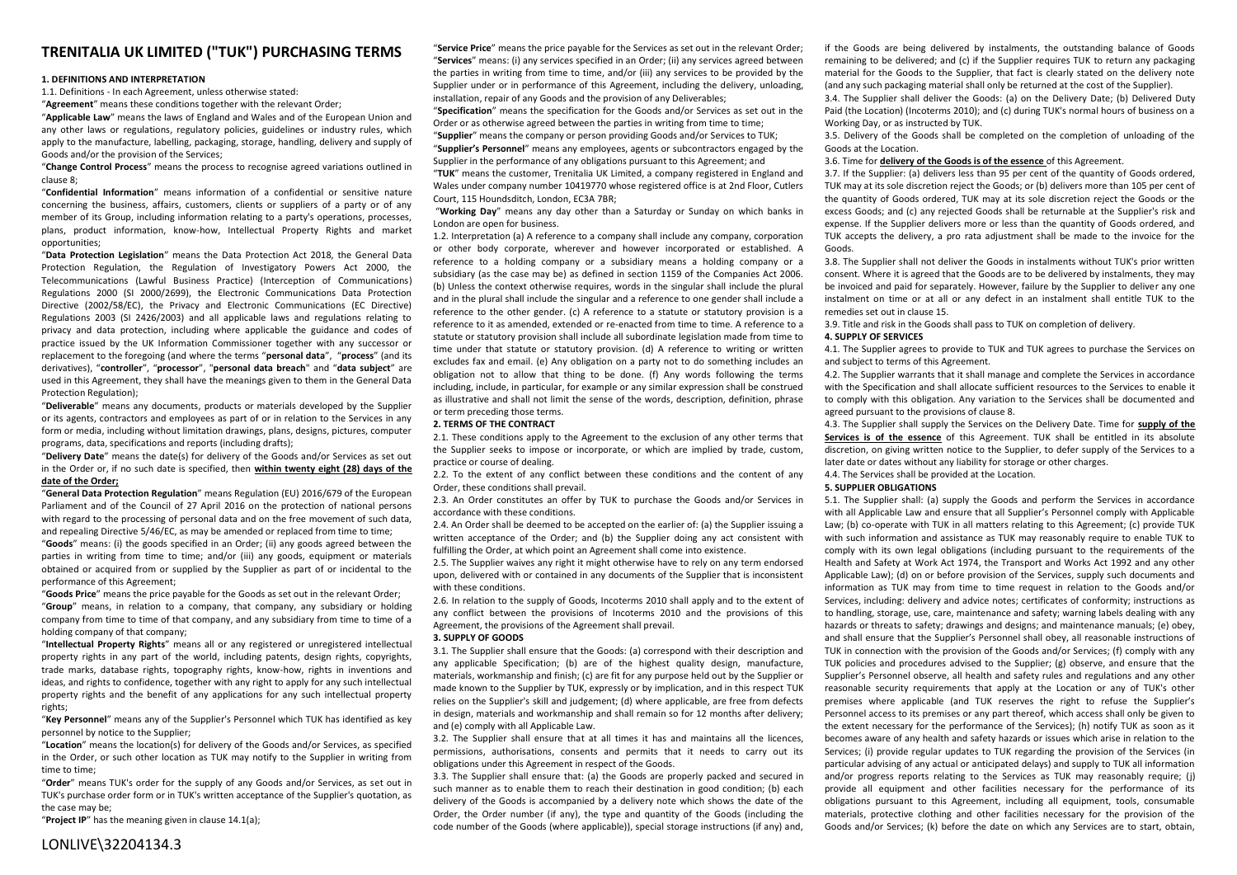# **TRENITALIA UK LIMITED ("TUK") PURCHASING TERMS**

## **1. DEFINITIONS AND INTERPRETATION**

1.1. Definitions - In each Agreement, unless otherwise stated:

"**Agreement**" means these conditions together with the relevant Order;

"**Applicable Law**" means the laws of England and Wales and of the European Union and any other laws or regulations, regulatory policies, guidelines or industry rules, which apply to the manufacture, labelling, packaging, storage, handling, delivery and supply of Goods and/or the provision of the Services;

"**Change Control Process**" means the process to recognise agreed variations outlined in clause 8;

"**Confidential Information**" means information of a confidential or sensitive nature concerning the business, affairs, customers, clients or suppliers of a party or of any member of its Group, including information relating to a party's operations, processes, plans, product information, know-how, Intellectual Property Rights and market opportunities;

"**Data Protection Legislation**" means the Data Protection Act 2018, the General Data Protection Regulation, the Regulation of Investigatory Powers Act 2000, the Telecommunications (Lawful Business Practice) (Interception of Communications) Regulations 2000 (SI 2000/2699), the Electronic Communications Data Protection Directive (2002/58/EC), the Privacy and Electronic Communications (EC Directive) Regulations 2003 (SI 2426/2003) and all applicable laws and regulations relating to privacy and data protection, including where applicable the guidance and codes of practice issued by the UK Information Commissioner together with any successor or replacement to the foregoing (and where the terms "**personal data**", "**process**" (and its derivatives), "**controller**", "**processor**", "**personal data breach**" and "**data subject**" are used in this Agreement, they shall have the meanings given to them in the General Data Protection Regulation);

"**Deliverable**" means any documents, products or materials developed by the Supplier or its agents, contractors and employees as part of or in relation to the Services in any form or media, including without limitation drawings, plans, designs, pictures, computer programs, data, specifications and reports (including drafts);

"**Delivery Date**" means the date(s) for delivery of the Goods and/or Services as set out in the Order or, if no such date is specified, then **within twenty eight (28) days of the date of the Order;**

"**General Data Protection Regulation**" means Regulation (EU) 2016/679 of the European Parliament and of the Council of 27 April 2016 on the protection of national persons with regard to the processing of personal data and on the free movement of such data, and repealing Directive 5/46/EC, as may be amended or replaced from time to time;

"**Goods**" means: (i) the goods specified in an Order; (ii) any goods agreed between the parties in writing from time to time; and/or (iii) any goods, equipment or materials obtained or acquired from or supplied by the Supplier as part of or incidental to the performance of this Agreement;

"**Goods Price**" means the price payable for the Goods as set out in the relevant Order;

"**Group**" means, in relation to a company, that company, any subsidiary or holding company from time to time of that company, and any subsidiary from time to time of a holding company of that company;

"**Intellectual Property Rights**" means all or any registered or unregistered intellectual property rights in any part of the world, including patents, design rights, copyrights, trade marks, database rights, topography rights, know-how, rights in inventions and ideas, and rights to confidence, together with any right to apply for any such intellectual property rights and the benefit of any applications for any such intellectual property rights;

"**Key Personnel**" means any of the Supplier's Personnel which TUK has identified as key personnel by notice to the Supplier;

"**Location**" means the location(s) for delivery of the Goods and/or Services, as specified in the Order, or such other location as TUK may notify to the Supplier in writing from time to time;

"**Order**" means TUK's order for the supply of any Goods and/or Services, as set out in TUK's purchase order form or in TUK's written acceptance of the Supplier's quotation, as the case may be;

"**Project IP**" has the meaning given in clause 14.1(a);

"**Service Price**" means the price payable for the Services as set out in the relevant Order; "**Services**" means: (i) any services specified in an Order; (ii) any services agreed between the parties in writing from time to time, and/or (iii) any services to be provided by the Supplier under or in performance of this Agreement, including the delivery, unloading, installation, repair of any Goods and the provision of any Deliverables;

"**Specification**" means the specification for the Goods and/or Services as set out in the Order or as otherwise agreed between the parties in writing from time to time; "**Supplier**" means the company or person providing Goods and/or Services to TUK;

"**Supplier's Personnel**" means any employees, agents or subcontractors engaged by the Supplier in the performance of any obligations pursuant to this Agreement; and

"**TUK**" means the customer, Trenitalia UK Limited, a company registered in England and Wales under company number 10419770 whose registered office is at 2nd Floor, Cutlers Court, 115 Houndsditch, London, EC3A 7BR;

"**Working Day**" means any day other than a Saturday or Sunday on which banks in London are open for business.

1.2. Interpretation (a) A reference to a company shall include any company, corporation or other body corporate, wherever and however incorporated or established. A reference to a holding company or a subsidiary means a holding company or a subsidiary (as the case may be) as defined in section 1159 of the Companies Act 2006. (b) Unless the context otherwise requires, words in the singular shall include the plural and in the plural shall include the singular and a reference to one gender shall include a reference to the other gender. (c) A reference to a statute or statutory provision is a reference to it as amended, extended or re-enacted from time to time. A reference to a statute or statutory provision shall include all subordinate legislation made from time to time under that statute or statutory provision. (d) A reference to writing or written excludes fax and email. (e) Any obligation on a party not to do something includes an obligation not to allow that thing to be done. (f) Any words following the terms including, include, in particular, for example or any similar expression shall be construed as illustrative and shall not limit the sense of the words, description, definition, phrase or term preceding those terms.

## **2. TERMS OF THE CONTRACT**

2.1. These conditions apply to the Agreement to the exclusion of any other terms that the Supplier seeks to impose or incorporate, or which are implied by trade, custom, practice or course of dealing.

2.2. To the extent of any conflict between these conditions and the content of any Order, these conditions shall prevail.

2.3. An Order constitutes an offer by TUK to purchase the Goods and/or Services in accordance with these conditions.

2.4. An Order shall be deemed to be accepted on the earlier of: (a) the Supplier issuing a written acceptance of the Order; and (b) the Supplier doing any act consistent with fulfilling the Order, at which point an Agreement shall come into existence.

2.5. The Supplier waives any right it might otherwise have to rely on any term endorsed upon, delivered with or contained in any documents of the Supplier that is inconsistent with these conditions.

2.6. In relation to the supply of Goods, Incoterms 2010 shall apply and to the extent of any conflict between the provisions of Incoterms 2010 and the provisions of this Agreement, the provisions of the Agreement shall prevail.

#### **3. SUPPLY OF GOODS**

3.1. The Supplier shall ensure that the Goods: (a) correspond with their description and any applicable Specification; (b) are of the highest quality design, manufacture, materials, workmanship and finish; (c) are fit for any purpose held out by the Supplier or made known to the Supplier by TUK, expressly or by implication, and in this respect TUK relies on the Supplier's skill and judgement; (d) where applicable, are free from defects in design, materials and workmanship and shall remain so for 12 months after delivery; and (e) comply with all Applicable Law.

3.2. The Supplier shall ensure that at all times it has and maintains all the licences, permissions, authorisations, consents and permits that it needs to carry out its obligations under this Agreement in respect of the Goods.

3.3. The Supplier shall ensure that: (a) the Goods are properly packed and secured in such manner as to enable them to reach their destination in good condition; (b) each delivery of the Goods is accompanied by a delivery note which shows the date of the Order, the Order number (if any), the type and quantity of the Goods (including the code number of the Goods (where applicable)), special storage instructions (if any) and,

if the Goods are being delivered by instalments, the outstanding balance of Goods remaining to be delivered; and (c) if the Supplier requires TUK to return any packaging material for the Goods to the Supplier, that fact is clearly stated on the delivery note (and any such packaging material shall only be returned at the cost of the Supplier).

3.4. The Supplier shall deliver the Goods: (a) on the Delivery Date; (b) Delivered Duty Paid (the Location) (Incoterms 2010); and (c) during TUK's normal hours of business on a Working Day, or as instructed by TUK.

3.5. Delivery of the Goods shall be completed on the completion of unloading of the Goods at the Location.

## 3.6. Time for **delivery of the Goods is of the essence** of this Agreement.

3.7. If the Supplier: (a) delivers less than 95 per cent of the quantity of Goods ordered, TUK may at its sole discretion reject the Goods; or (b) delivers more than 105 per cent of the quantity of Goods ordered, TUK may at its sole discretion reject the Goods or the excess Goods; and (c) any rejected Goods shall be returnable at the Supplier's risk and expense. If the Supplier delivers more or less than the quantity of Goods ordered, and TUK accepts the delivery, a pro rata adjustment shall be made to the invoice for the Goods.

3.8. The Supplier shall not deliver the Goods in instalments without TUK's prior written consent. Where it is agreed that the Goods are to be delivered by instalments, they may be invoiced and paid for separately. However, failure by the Supplier to deliver any one instalment on time or at all or any defect in an instalment shall entitle TUK to the remedies set out in clause 15.

3.9. Title and risk in the Goods shall pass to TUK on completion of delivery.

### **4. SUPPLY OF SERVICES**

4.1. The Supplier agrees to provide to TUK and TUK agrees to purchase the Services on and subject to terms of this Agreement.

4.2. The Supplier warrants that it shall manage and complete the Services in accordance with the Specification and shall allocate sufficient resources to the Services to enable it to comply with this obligation. Any variation to the Services shall be documented and agreed pursuant to the provisions of clause 8.

4.3. The Supplier shall supply the Services on the Delivery Date. Time for **supply of the Services is of the essence** of this Agreement. TUK shall be entitled in its absolute discretion, on giving written notice to the Supplier, to defer supply of the Services to a later date or dates without any liability for storage or other charges.

## 4.4. The Services shall be provided at the Location.

## **5. SUPPLIER OBLIGATIONS**

5.1. The Supplier shall: (a) supply the Goods and perform the Services in accordance with all Applicable Law and ensure that all Supplier's Personnel comply with Applicable Law; (b) co-operate with TUK in all matters relating to this Agreement; (c) provide TUK with such information and assistance as TUK may reasonably require to enable TUK to comply with its own legal obligations (including pursuant to the requirements of the Health and Safety at Work Act 1974, the Transport and Works Act 1992 and any other Applicable Law); (d) on or before provision of the Services, supply such documents and information as TUK may from time to time request in relation to the Goods and/or Services, including: delivery and advice notes; certificates of conformity; instructions as to handling, storage, use, care, maintenance and safety; warning labels dealing with any hazards or threats to safety; drawings and designs; and maintenance manuals; (e) obey, and shall ensure that the Supplier's Personnel shall obey, all reasonable instructions of TUK in connection with the provision of the Goods and/or Services; (f) comply with any TUK policies and procedures advised to the Supplier; (g) observe, and ensure that the Supplier's Personnel observe, all health and safety rules and regulations and any other reasonable security requirements that apply at the Location or any of TUK's other premises where applicable (and TUK reserves the right to refuse the Supplier's Personnel access to its premises or any part thereof, which access shall only be given to the extent necessary for the performance of the Services); (h) notify TUK as soon as it becomes aware of any health and safety hazards or issues which arise in relation to the Services; (i) provide regular updates to TUK regarding the provision of the Services (in particular advising of any actual or anticipated delays) and supply to TUK all information and/or progress reports relating to the Services as TUK may reasonably require; (j) provide all equipment and other facilities necessary for the performance of its obligations pursuant to this Agreement, including all equipment, tools, consumable materials, protective clothing and other facilities necessary for the provision of the Goods and/or Services; (k) before the date on which any Services are to start, obtain,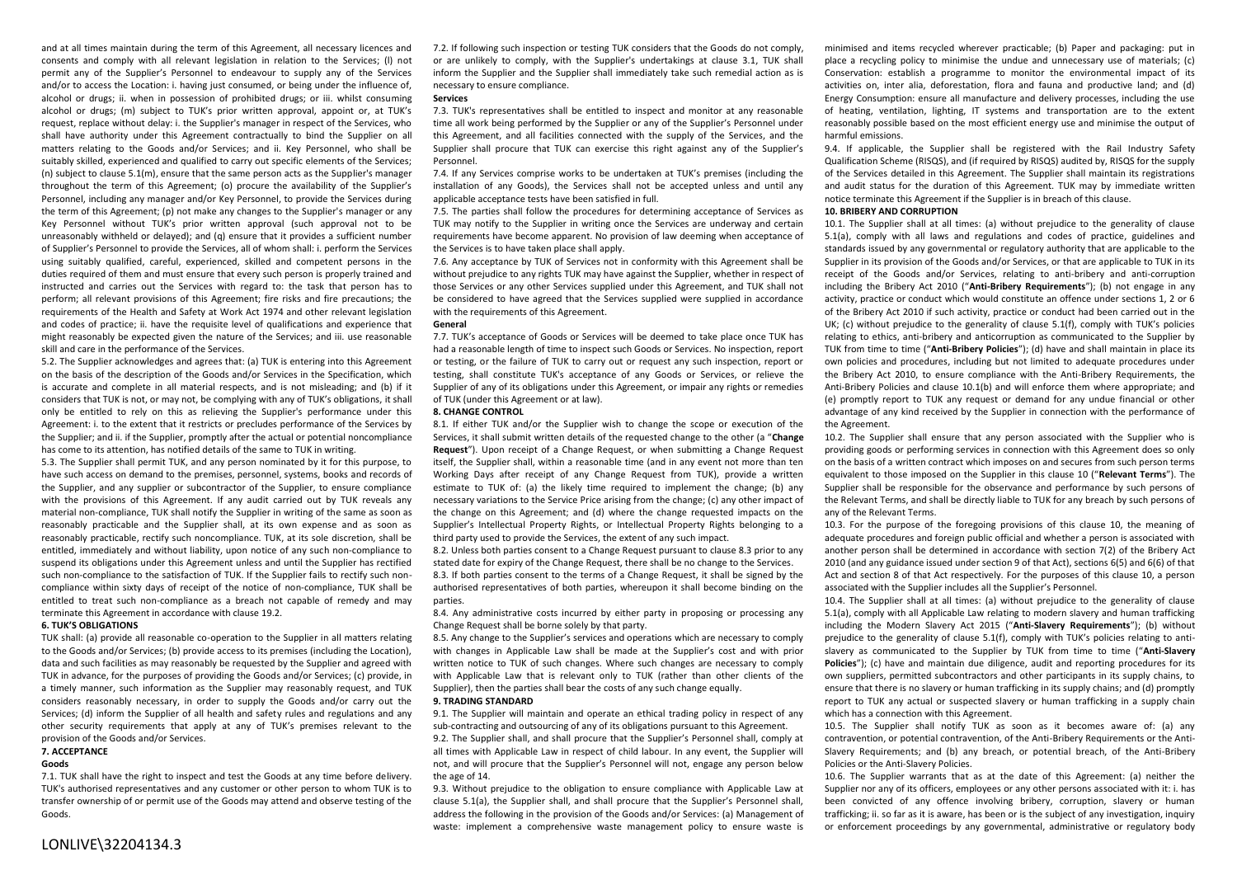and at all times maintain during the term of this Agreement, all necessary licences and consents and comply with all relevant legislation in relation to the Services; (l) not permit any of the Supplier's Personnel to endeavour to supply any of the Services and/or to access the Location: i. having just consumed, or being under the influence of, alcohol or drugs; ii. when in possession of prohibited drugs; or iii. whilst consuming alcohol or drugs; (m) subject to TUK's prior written approval, appoint or, at TUK's request, replace without delay: i. the Supplier's manager in respect of the Services, who shall have authority under this Agreement contractually to bind the Supplier on all matters relating to the Goods and/or Services; and ii. Key Personnel, who shall be suitably skilled, experienced and qualified to carry out specific elements of the Services; (n) subject to clause  $5.1(m)$ , ensure that the same person acts as the Supplier's manager throughout the term of this Agreement; (o) procure the availability of the Supplier's Personnel, including any manager and/or Key Personnel, to provide the Services during the term of this Agreement; (p) not make any changes to the Supplier's manager or any Key Personnel without TUK's prior written approval (such approval not to be unreasonably withheld or delayed); and (q) ensure that it provides a sufficient number of Supplier's Personnel to provide the Services, all of whom shall: i. perform the Services using suitably qualified, careful, experienced, skilled and competent persons in the duties required of them and must ensure that every such person is properly trained and instructed and carries out the Services with regard to: the task that person has to perform; all relevant provisions of this Agreement; fire risks and fire precautions; the requirements of the Health and Safety at Work Act 1974 and other relevant legislation and codes of practice; ii. have the requisite level of qualifications and experience that might reasonably be expected given the nature of the Services; and iii. use reasonable skill and care in the performance of the Services.

5.2. The Supplier acknowledges and agrees that: (a) TUK is entering into this Agreement on the basis of the description of the Goods and/or Services in the Specification, which is accurate and complete in all material respects, and is not misleading; and (b) if it considers that TUK is not, or may not, be complying with any of TUK's obligations, it shall only be entitled to rely on this as relieving the Supplier's performance under this Agreement: i. to the extent that it restricts or precludes performance of the Services by the Supplier; and ii. if the Supplier, promptly after the actual or potential noncompliance has come to its attention, has notified details of the same to TUK in writing.

5.3. The Supplier shall permit TUK, and any person nominated by it for this purpose, to have such access on demand to the premises, personnel, systems, books and records of the Supplier, and any supplier or subcontractor of the Supplier, to ensure compliance with the provisions of this Agreement. If any audit carried out by TUK reveals any material non-compliance, TUK shall notify the Supplier in writing of the same as soon as reasonably practicable and the Supplier shall, at its own expense and as soon as reasonably practicable, rectify such noncompliance. TUK, at its sole discretion, shall be entitled, immediately and without liability, upon notice of any such non-compliance to suspend its obligations under this Agreement unless and until the Supplier has rectified such non-compliance to the satisfaction of TUK. If the Supplier fails to rectify such noncompliance within sixty days of receipt of the notice of non-compliance, TUK shall be entitled to treat such non-compliance as a breach not capable of remedy and may terminate this Agreement in accordance with clause 19.2.

#### **6. TUK'S OBLIGATIONS**

TUK shall: (a) provide all reasonable co-operation to the Supplier in all matters relating to the Goods and/or Services; (b) provide access to its premises (including the Location), data and such facilities as may reasonably be requested by the Supplier and agreed with TUK in advance, for the purposes of providing the Goods and/or Services; (c) provide, in a timely manner, such information as the Supplier may reasonably request, and TUK considers reasonably necessary, in order to supply the Goods and/or carry out the Services; (d) inform the Supplier of all health and safety rules and regulations and any other security requirements that apply at any of TUK's premises relevant to the provision of the Goods and/or Services.

## **7. ACCEPTANCE**

## **Goods**

7.1. TUK shall have the right to inspect and test the Goods at any time before delivery. TUK's authorised representatives and any customer or other person to whom TUK is to transfer ownership of or permit use of the Goods may attend and observe testing of the Goods.

7.2. If following such inspection or testing TUK considers that the Goods do not comply, or are unlikely to comply, with the Supplier's undertakings at clause 3.1, TUK shall inform the Supplier and the Supplier shall immediately take such remedial action as is necessary to ensure compliance.

#### **Services**

7.3. TUK's representatives shall be entitled to inspect and monitor at any reasonable time all work being performed by the Supplier or any of the Supplier's Personnel under this Agreement, and all facilities connected with the supply of the Services, and the Supplier shall procure that TUK can exercise this right against any of the Supplier's Personnel.

7.4. If any Services comprise works to be undertaken at TUK's premises (including the installation of any Goods), the Services shall not be accepted unless and until any applicable acceptance tests have been satisfied in full.

7.5. The parties shall follow the procedures for determining acceptance of Services as TUK may notify to the Supplier in writing once the Services are underway and certain requirements have become apparent. No provision of law deeming when acceptance of the Services is to have taken place shall apply.

7.6. Any acceptance by TUK of Services not in conformity with this Agreement shall be without prejudice to any rights TUK may have against the Supplier, whether in respect of those Services or any other Services supplied under this Agreement, and TUK shall not be considered to have agreed that the Services supplied were supplied in accordance with the requirements of this Agreement.

## **General**

7.7. TUK's acceptance of Goods or Services will be deemed to take place once TUK has had a reasonable length of time to inspect such Goods or Services. No inspection, report or testing, or the failure of TUK to carry out or request any such inspection, report or testing, shall constitute TUK's acceptance of any Goods or Services, or relieve the Supplier of any of its obligations under this Agreement, or impair any rights or remedies of TUK (under this Agreement or at law).

## **8. CHANGE CONTROL**

8.1. If either TUK and/or the Supplier wish to change the scope or execution of the Services, it shall submit written details of the requested change to the other (a "**Change Request**"). Upon receipt of a Change Request, or when submitting a Change Request itself, the Supplier shall, within a reasonable time (and in any event not more than ten Working Days after receipt of any Change Request from TUK), provide a written estimate to TUK of: (a) the likely time required to implement the change; (b) any necessary variations to the Service Price arising from the change; (c) any other impact of the change on this Agreement; and (d) where the change requested impacts on the Supplier's Intellectual Property Rights, or Intellectual Property Rights belonging to a third party used to provide the Services, the extent of any such impact.

8.2. Unless both parties consent to a Change Request pursuant to clause 8.3 prior to any stated date for expiry of the Change Request, there shall be no change to the Services. 8.3. If both parties consent to the terms of a Change Request, it shall be signed by the authorised representatives of both parties, whereupon it shall become binding on the parties.

8.4. Any administrative costs incurred by either party in proposing or processing any Change Request shall be borne solely by that party.

8.5. Any change to the Supplier's services and operations which are necessary to comply with changes in Applicable Law shall be made at the Supplier's cost and with prior written notice to TUK of such changes. Where such changes are necessary to comply with Applicable Law that is relevant only to TUK (rather than other clients of the Supplier), then the parties shall bear the costs of any such change equally.

## **9. TRADING STANDARD**

9.1. The Supplier will maintain and operate an ethical trading policy in respect of any sub-contracting and outsourcing of any of its obligations pursuant to this Agreement. 9.2. The Supplier shall, and shall procure that the Supplier's Personnel shall, comply at all times with Applicable Law in respect of child labour. In any event, the Supplier will not, and will procure that the Supplier's Personnel will not, engage any person below the age of 14.

9.3. Without prejudice to the obligation to ensure compliance with Applicable Law at clause 5.1(a), the Supplier shall, and shall procure that the Supplier's Personnel shall, address the following in the provision of the Goods and/or Services: (a) Management of waste: implement a comprehensive waste management policy to ensure waste is

minimised and items recycled wherever practicable; (b) Paper and packaging: put in place a recycling policy to minimise the undue and unnecessary use of materials; (c) Conservation: establish a programme to monitor the environmental impact of its activities on, inter alia, deforestation, flora and fauna and productive land; and (d) Energy Consumption: ensure all manufacture and delivery processes, including the use of heating, ventilation, lighting, IT systems and transportation are to the extent reasonably possible based on the most efficient energy use and minimise the output of harmful emissions.

9.4. If applicable, the Supplier shall be registered with the Rail Industry Safety Qualification Scheme (RISQS), and (if required by RISQS) audited by, RISQS for the supply of the Services detailed in this Agreement. The Supplier shall maintain its registrations and audit status for the duration of this Agreement. TUK may by immediate written notice terminate this Agreement if the Supplier is in breach of this clause.

### **10. BRIBERY AND CORRUPTION**

10.1. The Supplier shall at all times: (a) without prejudice to the generality of clause 5.1(a), comply with all laws and regulations and codes of practice, guidelines and standards issued by any governmental or regulatory authority that are applicable to the Supplier in its provision of the Goods and/or Services, or that are applicable to TUK in its receipt of the Goods and/or Services, relating to anti-bribery and anti-corruption including the Bribery Act 2010 ("**Anti-Bribery Requirements**"); (b) not engage in any activity, practice or conduct which would constitute an offence under sections 1, 2 or 6 of the Bribery Act 2010 if such activity, practice or conduct had been carried out in the UK; (c) without prejudice to the generality of clause 5.1(f), comply with TUK's policies relating to ethics, anti-bribery and anticorruption as communicated to the Supplier by TUK from time to time ("**Anti-Bribery Policies**"); (d) have and shall maintain in place its own policies and procedures, including but not limited to adequate procedures under the Bribery Act 2010, to ensure compliance with the Anti-Bribery Requirements, the Anti-Bribery Policies and clause 10.1(b) and will enforce them where appropriate; and (e) promptly report to TUK any request or demand for any undue financial or other advantage of any kind received by the Supplier in connection with the performance of the Agreement.

10.2. The Supplier shall ensure that any person associated with the Supplier who is providing goods or performing services in connection with this Agreement does so only on the basis of a written contract which imposes on and secures from such person terms equivalent to those imposed on the Supplier in this clause 10 ("**Relevant Terms**"). The Supplier shall be responsible for the observance and performance by such persons of the Relevant Terms, and shall be directly liable to TUK for any breach by such persons of any of the Relevant Terms.

10.3. For the purpose of the foregoing provisions of this clause 10, the meaning of adequate procedures and foreign public official and whether a person is associated with another person shall be determined in accordance with section 7(2) of the Bribery Act 2010 (and any guidance issued under section 9 of that Act), sections 6(5) and 6(6) of that Act and section 8 of that Act respectively. For the purposes of this clause 10, a person associated with the Supplier includes all the Supplier's Personnel.

10.4. The Supplier shall at all times: (a) without prejudice to the generality of clause 5.1(a), comply with all Applicable Law relating to modern slavery and human trafficking including the Modern Slavery Act 2015 ("**Anti-Slavery Requirements**"); (b) without prejudice to the generality of clause 5.1(f), comply with TUK's policies relating to antislavery as communicated to the Supplier by TUK from time to time ("**Anti-Slavery Policies**"); (c) have and maintain due diligence, audit and reporting procedures for its own suppliers, permitted subcontractors and other participants in its supply chains, to ensure that there is no slavery or human trafficking in its supply chains; and (d) promptly report to TUK any actual or suspected slavery or human trafficking in a supply chain which has a connection with this Agreement.

10.5. The Supplier shall notify TUK as soon as it becomes aware of: (a) any contravention, or potential contravention, of the Anti-Bribery Requirements or the Anti-Slavery Requirements; and (b) any breach, or potential breach, of the Anti-Bribery Policies or the Anti-Slavery Policies.

10.6. The Supplier warrants that as at the date of this Agreement: (a) neither the Supplier nor any of its officers, employees or any other persons associated with it: i. has been convicted of any offence involving bribery, corruption, slavery or human trafficking; ii. so far as it is aware, has been or is the subject of any investigation, inquiry or enforcement proceedings by any governmental, administrative or regulatory body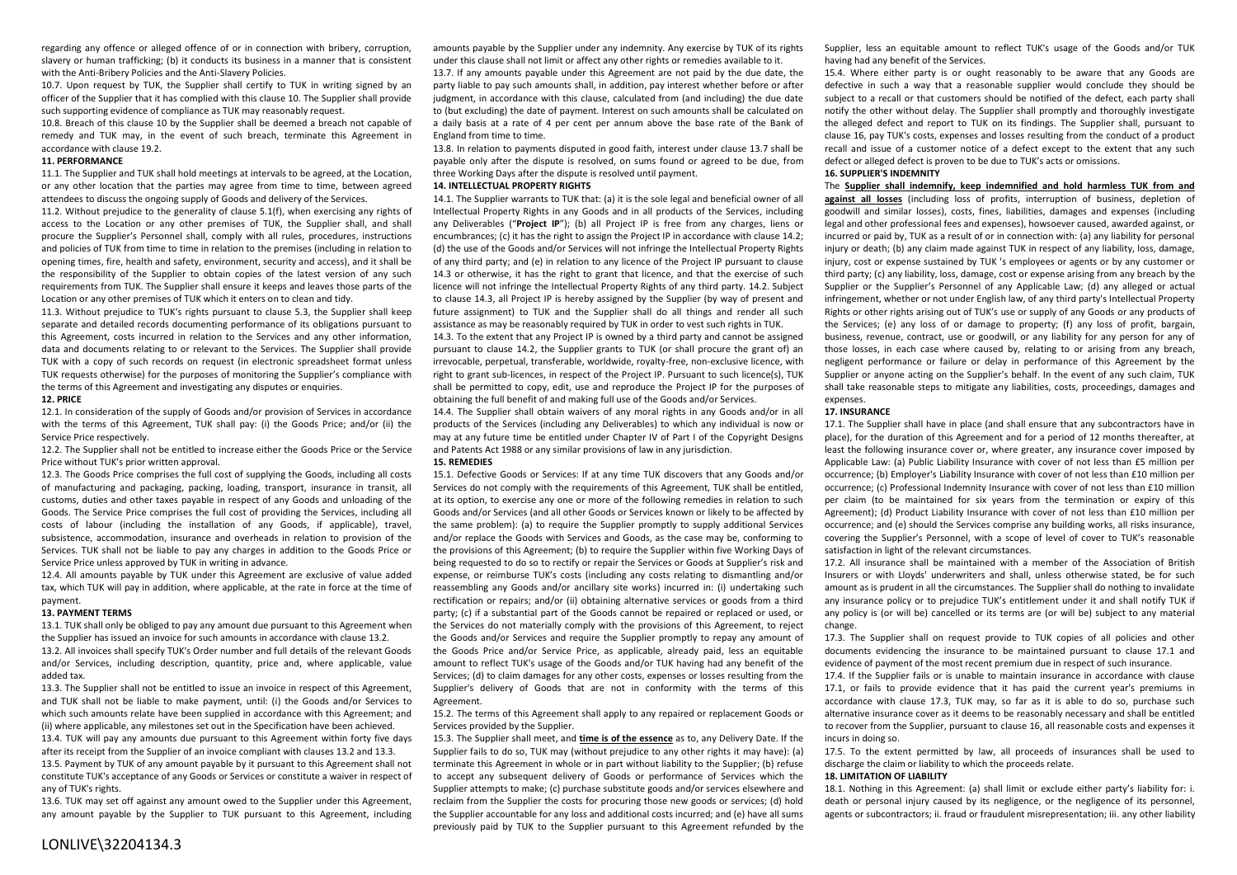regarding any offence or alleged offence of or in connection with bribery, corruption, slavery or human trafficking; (b) it conducts its business in a manner that is consistent with the Anti-Bribery Policies and the Anti-Slavery Policies.

10.7. Upon request by TUK, the Supplier shall certify to TUK in writing signed by an officer of the Supplier that it has complied with this clause 10. The Supplier shall provide such supporting evidence of compliance as TUK may reasonably request.

10.8. Breach of this clause 10 by the Supplier shall be deemed a breach not capable of remedy and TUK may, in the event of such breach, terminate this Agreement in accordance with clause 19.2.

## **11. PERFORMANCE**

11.1. The Supplier and TUK shall hold meetings at intervals to be agreed, at the Location, or any other location that the parties may agree from time to time, between agreed attendees to discuss the ongoing supply of Goods and delivery of the Services.

11.2. Without prejudice to the generality of clause 5.1(f), when exercising any rights of access to the Location or any other premises of TUK, the Supplier shall, and shall procure the Supplier's Personnel shall, comply with all rules, procedures, instructions and policies of TUK from time to time in relation to the premises (including in relation to opening times, fire, health and safety, environment, security and access), and it shall be the responsibility of the Supplier to obtain copies of the latest version of any such requirements from TUK. The Supplier shall ensure it keeps and leaves those parts of the Location or any other premises of TUK which it enters on to clean and tidy.

11.3. Without prejudice to TUK's rights pursuant to clause 5.3, the Supplier shall keep separate and detailed records documenting performance of its obligations pursuant to this Agreement, costs incurred in relation to the Services and any other information, data and documents relating to or relevant to the Services. The Supplier shall provide TUK with a copy of such records on request (in electronic spreadsheet format unless TUK requests otherwise) for the purposes of monitoring the Supplier's compliance with the terms of this Agreement and investigating any disputes or enquiries.

#### **12. PRICE**

12.1. In consideration of the supply of Goods and/or provision of Services in accordance with the terms of this Agreement, TUK shall pay: (i) the Goods Price; and/or (ii) the Service Price respectively.

12.2. The Supplier shall not be entitled to increase either the Goods Price or the Service Price without TUK's prior written approval.

12.3. The Goods Price comprises the full cost of supplying the Goods, including all costs of manufacturing and packaging, packing, loading, transport, insurance in transit, all customs, duties and other taxes payable in respect of any Goods and unloading of the Goods. The Service Price comprises the full cost of providing the Services, including all costs of labour (including the installation of any Goods, if applicable), travel, subsistence, accommodation, insurance and overheads in relation to provision of the Services. TUK shall not be liable to pay any charges in addition to the Goods Price or Service Price unless approved by TUK in writing in advance.

12.4. All amounts payable by TUK under this Agreement are exclusive of value added tax, which TUK will pay in addition, where applicable, at the rate in force at the time of payment.

#### **13. PAYMENT TERMS**

13.1. TUK shall only be obliged to pay any amount due pursuant to this Agreement when the Supplier has issued an invoice for such amounts in accordance with clause 13.2.

13.2. All invoices shall specify TUK's Order number and full details of the relevant Goods and/or Services, including description, quantity, price and, where applicable, value added tax.

13.3. The Supplier shall not be entitled to issue an invoice in respect of this Agreement, and TUK shall not be liable to make payment, until: (i) the Goods and/or Services to which such amounts relate have been supplied in accordance with this Agreement; and (ii) where applicable, any milestones set out in the Specification have been achieved. 13.4. TUK will pay any amounts due pursuant to this Agreement within forty five days after its receipt from the Supplier of an invoice compliant with clauses 13.2 and 13.3.

13.5. Payment by TUK of any amount payable by it pursuant to this Agreement shall not constitute TUK's acceptance of any Goods or Services or constitute a waiver in respect of any of TUK's rights.

13.6. TUK may set off against any amount owed to the Supplier under this Agreement, any amount payable by the Supplier to TUK pursuant to this Agreement, including amounts payable by the Supplier under any indemnity. Any exercise by TUK of its rights under this clause shall not limit or affect any other rights or remedies available to it.

13.7. If any amounts payable under this Agreement are not paid by the due date, the party liable to pay such amounts shall, in addition, pay interest whether before or after judgment, in accordance with this clause, calculated from (and including) the due date to (but excluding) the date of payment. Interest on such amounts shall be calculated on a daily basis at a rate of 4 per cent per annum above the base rate of the Bank of England from time to time.

13.8. In relation to payments disputed in good faith, interest under clause 13.7 shall be payable only after the dispute is resolved, on sums found or agreed to be due, from three Working Days after the dispute is resolved until payment.

#### **14. INTELLECTUAL PROPERTY RIGHTS**

14.1. The Supplier warrants to TUK that: (a) it is the sole legal and beneficial owner of all Intellectual Property Rights in any Goods and in all products of the Services, including any Deliverables ("**Project IP**"); (b) all Project IP is free from any charges, liens or encumbrances; (c) it has the right to assign the Project IP in accordance with clause 14.2; (d) the use of the Goods and/or Services will not infringe the Intellectual Property Rights of any third party; and (e) in relation to any licence of the Project IP pursuant to clause 14.3 or otherwise, it has the right to grant that licence, and that the exercise of such licence will not infringe the Intellectual Property Rights of any third party. 14.2. Subject to clause 14.3, all Project IP is hereby assigned by the Supplier (by way of present and future assignment) to TUK and the Supplier shall do all things and render all such assistance as may be reasonably required by TUK in order to vest such rights in TUK.

14.3. To the extent that any Project IP is owned by a third party and cannot be assigned pursuant to clause 14.2, the Supplier grants to TUK (or shall procure the grant of) an irrevocable, perpetual, transferable, worldwide, royalty-free, non-exclusive licence, with right to grant sub-licences, in respect of the Project IP. Pursuant to such licence(s), TUK shall be permitted to copy, edit, use and reproduce the Project IP for the purposes of obtaining the full benefit of and making full use of the Goods and/or Services.

14.4. The Supplier shall obtain waivers of any moral rights in any Goods and/or in all products of the Services (including any Deliverables) to which any individual is now or may at any future time be entitled under Chapter IV of Part I of the Copyright Designs and Patents Act 1988 or any similar provisions of law in any jurisdiction.

#### **15. REMEDIES**

15.1. Defective Goods or Services: If at any time TUK discovers that any Goods and/or Services do not comply with the requirements of this Agreement, TUK shall be entitled, at its option, to exercise any one or more of the following remedies in relation to such Goods and/or Services (and all other Goods or Services known or likely to be affected by the same problem): (a) to require the Supplier promptly to supply additional Services and/or replace the Goods with Services and Goods, as the case may be, conforming to the provisions of this Agreement; (b) to require the Supplier within five Working Days of being requested to do so to rectify or repair the Services or Goods at Supplier's risk and expense, or reimburse TUK's costs (including any costs relating to dismantling and/or reassembling any Goods and/or ancillary site works) incurred in: (i) undertaking such rectification or repairs; and/or (ii) obtaining alternative services or goods from a third party; (c) if a substantial part of the Goods cannot be repaired or replaced or used, or the Services do not materially comply with the provisions of this Agreement, to reject the Goods and/or Services and require the Supplier promptly to repay any amount of the Goods Price and/or Service Price, as applicable, already paid, less an equitable amount to reflect TUK's usage of the Goods and/or TUK having had any benefit of the Services; (d) to claim damages for any other costs, expenses or losses resulting from the Supplier's delivery of Goods that are not in conformity with the terms of this Agreement.

15.2. The terms of this Agreement shall apply to any repaired or replacement Goods or Services provided by the Supplier.

15.3. The Supplier shall meet, and **time is of the essence** as to, any Delivery Date. If the Supplier fails to do so, TUK may (without prejudice to any other rights it may have): (a) terminate this Agreement in whole or in part without liability to the Supplier; (b) refuse to accept any subsequent delivery of Goods or performance of Services which the Supplier attempts to make; (c) purchase substitute goods and/or services elsewhere and reclaim from the Supplier the costs for procuring those new goods or services; (d) hold the Supplier accountable for any loss and additional costs incurred; and (e) have all sums previously paid by TUK to the Supplier pursuant to this Agreement refunded by the Supplier, less an equitable amount to reflect TUK's usage of the Goods and/or TUK having had any benefit of the Services.

15.4. Where either party is or ought reasonably to be aware that any Goods are defective in such a way that a reasonable supplier would conclude they should be subject to a recall or that customers should be notified of the defect, each party shall notify the other without delay. The Supplier shall promptly and thoroughly investigate the alleged defect and report to TUK on its findings. The Supplier shall, pursuant to clause 16, pay TUK's costs, expenses and losses resulting from the conduct of a product recall and issue of a customer notice of a defect except to the extent that any such defect or alleged defect is proven to be due to TUK's acts or omissions.

#### **16. SUPPLIER'S INDEMNITY**

The **Supplier shall indemnify, keep indemnified and hold harmless TUK from and against all losses** (including loss of profits, interruption of business, depletion of goodwill and similar losses), costs, fines, liabilities, damages and expenses (including legal and other professional fees and expenses), howsoever caused, awarded against, or incurred or paid by, TUK as a result of or in connection with: (a) any liability for personal injury or death; (b) any claim made against TUK in respect of any liability, loss, damage, injury, cost or expense sustained by TUK 's employees or agents or by any customer or third party; (c) any liability, loss, damage, cost or expense arising from any breach by the Supplier or the Supplier's Personnel of any Applicable Law; (d) any alleged or actual infringement, whether or not under English law, of any third party's Intellectual Property Rights or other rights arising out of TUK's use or supply of any Goods or any products of the Services; (e) any loss of or damage to property; (f) any loss of profit, bargain, business, revenue, contract, use or goodwill, or any liability for any person for any of those losses, in each case where caused by, relating to or arising from any breach, negligent performance or failure or delay in performance of this Agreement by the Supplier or anyone acting on the Supplier's behalf. In the event of any such claim, TUK shall take reasonable steps to mitigate any liabilities, costs, proceedings, damages and expenses.

#### **17. INSURANCE**

17.1. The Supplier shall have in place (and shall ensure that any subcontractors have in place), for the duration of this Agreement and for a period of 12 months thereafter, at least the following insurance cover or, where greater, any insurance cover imposed by Applicable Law: (a) Public Liability Insurance with cover of not less than £5 million per occurrence; (b) Employer's Liability Insurance with cover of not less than £10 million per occurrence; (c) Professional Indemnity Insurance with cover of not less than £10 million per claim (to be maintained for six years from the termination or expiry of this Agreement); (d) Product Liability Insurance with cover of not less than £10 million per occurrence; and (e) should the Services comprise any building works, all risks insurance, covering the Supplier's Personnel, with a scope of level of cover to TUK's reasonable satisfaction in light of the relevant circumstances.

17.2. All insurance shall be maintained with a member of the Association of British Insurers or with Lloyds' underwriters and shall, unless otherwise stated, be for such amount as is prudent in all the circumstances. The Supplier shall do nothing to invalidate any insurance policy or to prejudice TUK's entitlement under it and shall notify TUK if any policy is (or will be) cancelled or its terms are (or will be) subject to any material change.

17.3. The Supplier shall on request provide to TUK copies of all policies and other documents evidencing the insurance to be maintained pursuant to clause 17.1 and evidence of payment of the most recent premium due in respect of such insurance.

17.4. If the Supplier fails or is unable to maintain insurance in accordance with clause 17.1, or fails to provide evidence that it has paid the current year's premiums in accordance with clause 17.3, TUK may, so far as it is able to do so, purchase such alternative insurance cover as it deems to be reasonably necessary and shall be entitled to recover from the Supplier, pursuant to clause 16, all reasonable costs and expenses it incurs in doing so.

17.5. To the extent permitted by law, all proceeds of insurances shall be used to discharge the claim or liability to which the proceeds relate.

## **18. LIMITATION OF LIABILITY**

18.1. Nothing in this Agreement: (a) shall limit or exclude either party's liability for: i. death or personal injury caused by its negligence, or the negligence of its personnel, agents or subcontractors; ii. fraud or fraudulent misrepresentation; iii. any other liability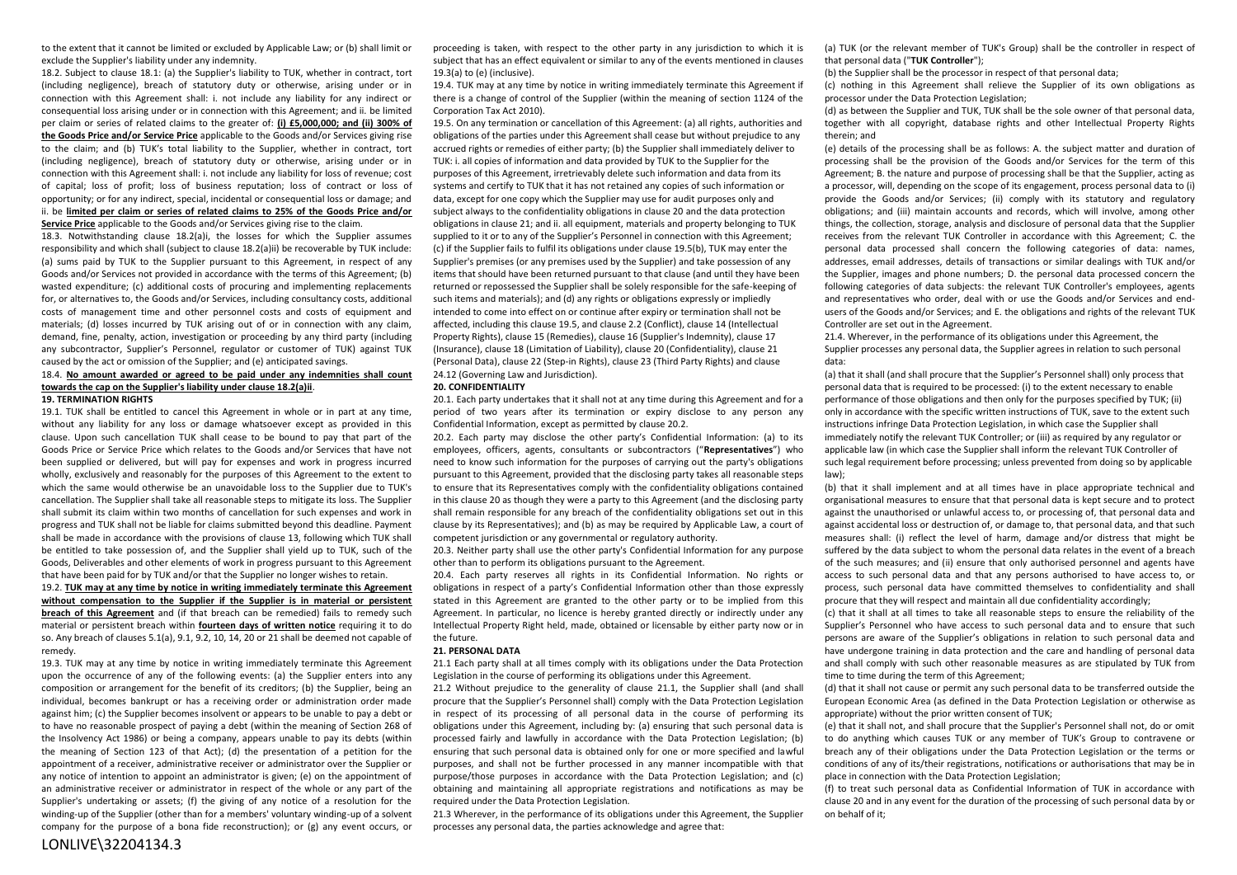to the extent that it cannot be limited or excluded by Applicable Law; or (b) shall limit or exclude the Supplier's liability under any indemnity.

18.2. Subject to clause 18.1: (a) the Supplier's liability to TUK, whether in contract, tort (including negligence), breach of statutory duty or otherwise, arising under or in connection with this Agreement shall: i. not include any liability for any indirect or consequential loss arising under or in connection with this Agreement; and ii. be limited per claim or series of related claims to the greater of: **(i) £5,000,000; and (ii) 300% of the Goods Price and/or Service Price** applicable to the Goods and/or Services giving rise to the claim; and (b) TUK's total liability to the Supplier, whether in contract, tort (including negligence), breach of statutory duty or otherwise, arising under or in connection with this Agreement shall: i. not include any liability for loss of revenue; cost of capital; loss of profit; loss of business reputation; loss of contract or loss of opportunity; or for any indirect, special, incidental or consequential loss or damage; and ii. be **limited per claim or series of related claims to 25% of the Goods Price and/or** 

**Service Price** applicable to the Goods and/or Services giving rise to the claim.

18.3. Notwithstanding clause 18.2(a)i, the losses for which the Supplier assumes responsibility and which shall (subject to clause 18.2(a)ii) be recoverable by TUK include: (a) sums paid by TUK to the Supplier pursuant to this Agreement, in respect of any Goods and/or Services not provided in accordance with the terms of this Agreement; (b) wasted expenditure; (c) additional costs of procuring and implementing replacements for, or alternatives to, the Goods and/or Services, including consultancy costs, additional costs of management time and other personnel costs and costs of equipment and materials; (d) losses incurred by TUK arising out of or in connection with any claim, demand, fine, penalty, action, investigation or proceeding by any third party (including any subcontractor, Supplier's Personnel, regulator or customer of TUK) against TUK caused by the act or omission of the Supplier; and (e) anticipated savings.

## 18.4. **No amount awarded or agreed to be paid under any indemnities shall count towards the cap on the Supplier's liability under clause 18.2(a)ii**.

#### **19. TERMINATION RIGHTS**

19.1. TUK shall be entitled to cancel this Agreement in whole or in part at any time, without any liability for any loss or damage whatsoever except as provided in this clause. Upon such cancellation TUK shall cease to be bound to pay that part of the Goods Price or Service Price which relates to the Goods and/or Services that have not been supplied or delivered, but will pay for expenses and work in progress incurred wholly, exclusively and reasonably for the purposes of this Agreement to the extent to which the same would otherwise be an unavoidable loss to the Supplier due to TUK's cancellation. The Supplier shall take all reasonable steps to mitigate its loss. The Supplier shall submit its claim within two months of cancellation for such expenses and work in progress and TUK shall not be liable for claims submitted beyond this deadline. Payment shall be made in accordance with the provisions of clause 13, following which TUK shall be entitled to take possession of, and the Supplier shall yield up to TUK, such of the Goods, Deliverables and other elements of work in progress pursuant to this Agreement that have been paid for by TUK and/or that the Supplier no longer wishes to retain.

19.2. **TUK may at any time by notice in writing immediately terminate this Agreement without compensation to the Supplier if the Supplier is in material or persistent breach of this Agreement** and (if that breach can be remedied) fails to remedy such material or persistent breach within **fourteen days of written notice** requiring it to do so. Any breach of clauses 5.1(a), 9.1, 9.2, 10, 14, 20 or 21 shall be deemed not capable of remedy.

19.3. TUK may at any time by notice in writing immediately terminate this Agreement upon the occurrence of any of the following events: (a) the Supplier enters into any composition or arrangement for the benefit of its creditors; (b) the Supplier, being an individual, becomes bankrupt or has a receiving order or administration order made against him; (c) the Supplier becomes insolvent or appears to be unable to pay a debt or to have no reasonable prospect of paying a debt (within the meaning of Section 268 of the Insolvency Act 1986) or being a company, appears unable to pay its debts (within the meaning of Section 123 of that Act); (d) the presentation of a petition for the appointment of a receiver, administrative receiver or administrator over the Supplier or any notice of intention to appoint an administrator is given; (e) on the appointment of an administrative receiver or administrator in respect of the whole or any part of the Supplier's undertaking or assets; (f) the giving of any notice of a resolution for the winding-up of the Supplier (other than for a members' voluntary winding-up of a solvent company for the purpose of a bona fide reconstruction); or (g) any event occurs, or

proceeding is taken, with respect to the other party in any jurisdiction to which it is subject that has an effect equivalent or similar to any of the events mentioned in clauses 19.3(a) to (e) (inclusive).

19.4. TUK may at any time by notice in writing immediately terminate this Agreement if there is a change of control of the Supplier (within the meaning of section 1124 of the Corporation Tax Act 2010).

19.5. On any termination or cancellation of this Agreement: (a) all rights, authorities and obligations of the parties under this Agreement shall cease but without prejudice to any accrued rights or remedies of either party; (b) the Supplier shall immediately deliver to TUK: i. all copies of information and data provided by TUK to the Supplier for the purposes of this Agreement, irretrievably delete such information and data from its systems and certify to TUK that it has not retained any copies of such information or data, except for one copy which the Supplier may use for audit purposes only and subject always to the confidentiality obligations in clause 20 and the data protection obligations in clause 21; and ii. all equipment, materials and property belonging to TUK supplied to it or to any of the Supplier's Personnel in connection with this Agreement; (c) if the Supplier fails to fulfil its obligations under clause 19.5(b), TUK may enter the Supplier's premises (or any premises used by the Supplier) and take possession of any items that should have been returned pursuant to that clause (and until they have been returned or repossessed the Supplier shall be solely responsible for the safe-keeping of such items and materials); and (d) any rights or obligations expressly or impliedly intended to come into effect on or continue after expiry or termination shall not be affected, including this clause 19.5, and clause 2.2 (Conflict), clause 14 (Intellectual Property Rights), clause 15 (Remedies), clause 16 (Supplier's Indemnity), clause 17 (Insurance), clause 18 (Limitation of Liability), clause 20 (Confidentiality), clause 21 (Personal Data), clause 22 (Step-in Rights), clause 23 (Third Party Rights) and clause 24.12 (Governing Law and Jurisdiction).

#### **20. CONFIDENTIALITY**

20.1. Each party undertakes that it shall not at any time during this Agreement and for a period of two years after its termination or expiry disclose to any person any Confidential Information, except as permitted by clause 20.2.

20.2. Each party may disclose the other party's Confidential Information: (a) to its employees, officers, agents, consultants or subcontractors ("**Representatives**") who need to know such information for the purposes of carrying out the party's obligations pursuant to this Agreement, provided that the disclosing party takes all reasonable steps to ensure that its Representatives comply with the confidentiality obligations contained in this clause 20 as though they were a party to this Agreement (and the disclosing party shall remain responsible for any breach of the confidentiality obligations set out in this clause by its Representatives); and (b) as may be required by Applicable Law, a court of competent jurisdiction or any governmental or regulatory authority.

20.3. Neither party shall use the other party's Confidential Information for any purpose other than to perform its obligations pursuant to the Agreement.

20.4. Each party reserves all rights in its Confidential Information. No rights or obligations in respect of a party's Confidential Information other than those expressly stated in this Agreement are granted to the other party or to be implied from this Agreement. In particular, no licence is hereby granted directly or indirectly under any Intellectual Property Right held, made, obtained or licensable by either party now or in the future.

## **21. PERSONAL DATA**

21.1 Each party shall at all times comply with its obligations under the Data Protection Legislation in the course of performing its obligations under this Agreement.

21.2 Without prejudice to the generality of clause 21.1, the Supplier shall (and shall procure that the Supplier's Personnel shall) comply with the Data Protection Legislation in respect of its processing of all personal data in the course of performing its obligations under this Agreement, including by: (a) ensuring that such personal data is processed fairly and lawfully in accordance with the Data Protection Legislation; (b) ensuring that such personal data is obtained only for one or more specified and lawful purposes, and shall not be further processed in any manner incompatible with that purpose/those purposes in accordance with the Data Protection Legislation; and (c) obtaining and maintaining all appropriate registrations and notifications as may be required under the Data Protection Legislation.

21.3 Wherever, in the performance of its obligations under this Agreement, the Supplier processes any personal data, the parties acknowledge and agree that:

(a) TUK (or the relevant member of TUK's Group) shall be the controller in respect of that personal data ("**TUK Controller**");

(b) the Supplier shall be the processor in respect of that personal data;

(c) nothing in this Agreement shall relieve the Supplier of its own obligations as processor under the Data Protection Legislation;

(d) as between the Supplier and TUK, TUK shall be the sole owner of that personal data, together with all copyright, database rights and other Intellectual Property Rights therein; and

(e) details of the processing shall be as follows: A. the subject matter and duration of processing shall be the provision of the Goods and/or Services for the term of this Agreement; B. the nature and purpose of processing shall be that the Supplier, acting as a processor, will, depending on the scope of its engagement, process personal data to (i) provide the Goods and/or Services; (ii) comply with its statutory and regulatory obligations; and (iii) maintain accounts and records, which will involve, among other things, the collection, storage, analysis and disclosure of personal data that the Supplier receives from the relevant TUK Controller in accordance with this Agreement; C. the personal data processed shall concern the following categories of data: names, addresses, email addresses, details of transactions or similar dealings with TUK and/or the Supplier, images and phone numbers; D. the personal data processed concern the following categories of data subjects: the relevant TUK Controller's employees, agents and representatives who order, deal with or use the Goods and/or Services and endusers of the Goods and/or Services; and E. the obligations and rights of the relevant TUK Controller are set out in the Agreement.

<span id="page-3-0"></span>21.4. Wherever, in the performance of its obligations under this Agreement, the Supplier processes any personal data, the Supplier agrees in relation to such personal data:

(a) that it shall (and shall procure that the Supplier's Personnel shall) only process that personal data that is required to be processed: (i) to the extent necessary to enable performance of those obligations and then only for the purposes specified by TUK; (ii) only in accordance with the specific written instructions of TUK, save to the extent such instructions infringe Data Protection Legislation, in which case the Supplier shall immediately notify the relevant TUK Controller; or (iii) as required by any regulator or applicable law (in which case the Supplier shall inform the relevant TUK Controller of such legal requirement before processing; unless prevented from doing so by applicable law);

(b) that it shall implement and at all times have in place appropriate technical and organisational measures to ensure that that personal data is kept secure and to protect against the unauthorised or unlawful access to, or processing of, that personal data and against accidental loss or destruction of, or damage to, that personal data, and that such measures shall: (i) reflect the level of harm, damage and/or distress that might be suffered by the data subject to whom the personal data relates in the event of a breach of the such measures; and (ii) ensure that only authorised personnel and agents have access to such personal data and that any persons authorised to have access to, or process, such personal data have committed themselves to confidentiality and shall procure that they will respect and maintain all due confidentiality accordingly;

(c) that it shall at all times to take all reasonable steps to ensure the reliability of the Supplier's Personnel who have access to such personal data and to ensure that such persons are aware of the Supplier's obligations in relation to such personal data and have undergone training in data protection and the care and handling of personal data and shall comply with such other reasonable measures as are stipulated by TUK from time to time during the term of this Agreement;

(d) that it shall not cause or permit any such personal data to be transferred outside the European Economic Area (as defined in the Data Protection Legislation or otherwise as appropriate) without the prior written consent of TUK;

(e) that it shall not, and shall procure that the Supplier's Personnel shall not, do or omit to do anything which causes TUK or any member of TUK's Group to contravene or breach any of their obligations under the Data Protection Legislation or the terms or conditions of any of its/their registrations, notifications or authorisations that may be in place in connection with the Data Protection Legislation;

(f) to treat such personal data as Confidential Information of TUK in accordance with clause 20 and in any event for the duration of the processing of such personal data by or on behalf of it;